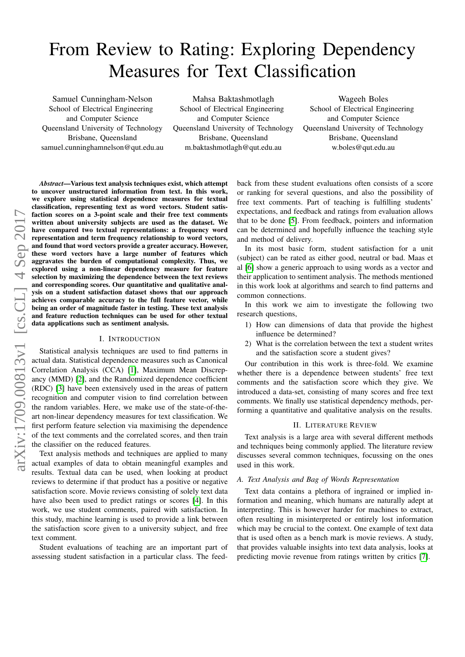# From Review to Rating: Exploring Dependency Measures for Text Classification

Samuel Cunningham-Nelson School of Electrical Engineering and Computer Science Queensland University of Technology Brisbane, Queensland samuel.cunninghamnelson@qut.edu.au

Mahsa Baktashmotlagh School of Electrical Engineering and Computer Science Queensland University of Technology Brisbane, Queensland m.baktashmotlagh@qut.edu.au

Wageeh Boles School of Electrical Engineering and Computer Science Queensland University of Technology Brisbane, Queensland w.boles@qut.edu.au

*Abstract*—Various text analysis techniques exist, which attempt to uncover unstructured information from text. In this work, we explore using statistical dependence measures for textual classification, representing text as word vectors. Student satisfaction scores on a 3-point scale and their free text comments written about university subjects are used as the dataset. We have compared two textual representations: a frequency word representation and term frequency relationship to word vectors, and found that word vectors provide a greater accuracy. However, these word vectors have a large number of features which aggravates the burden of computational complexity. Thus, we explored using a non-linear dependency measure for feature selection by maximizing the dependence between the text reviews and corresponding scores. Our quantitative and qualitative analysis on a student satisfaction dataset shows that our approach achieves comparable accuracy to the full feature vector, while being an order of magnitude faster in testing. These text analysis and feature reduction techniques can be used for other textual data applications such as sentiment analysis.

### I. INTRODUCTION

Statistical analysis techniques are used to find patterns in actual data. Statistical dependence measures such as Canonical Correlation Analysis (CCA) [\[1\]](#page-6-0), Maximum Mean Discrepancy (MMD) [\[2\]](#page-6-1), and the Randomized dependence coefficient (RDC) [\[3\]](#page-6-2) have been extensively used in the areas of pattern recognition and computer vision to find correlation between the random variables. Here, we make use of the state-of-theart non-linear dependency measures for text classification. We first perform feature selection via maximising the dependence of the text comments and the correlated scores, and then train the classifier on the reduced features.

Text analysis methods and techniques are applied to many actual examples of data to obtain meaningful examples and results. Textual data can be used, when looking at product reviews to determine if that product has a positive or negative satisfaction score. Movie reviews consisting of solely text data have also been used to predict ratings or scores [\[4\]](#page-6-3). In this work, we use student comments, paired with satisfaction. In this study, machine learning is used to provide a link between the satisfaction score given to a university subject, and free text comment.

Student evaluations of teaching are an important part of assessing student satisfaction in a particular class. The feedback from these student evaluations often consists of a score or ranking for several questions, and also the possibility of free text comments. Part of teaching is fulfilling students' expectations, and feedback and ratings from evaluation allows that to be done [\[5\]](#page-6-4). From feedback, pointers and information can be determined and hopefully influence the teaching style and method of delivery.

In its most basic form, student satisfaction for a unit (subject) can be rated as either good, neutral or bad. Maas et al [\[6\]](#page-6-5) show a generic approach to using words as a vector and their application to sentiment analysis. The methods mentioned in this work look at algorithms and search to find patterns and common connections.

In this work we aim to investigate the following two research questions,

- 1) How can dimensions of data that provide the highest influence be determined?
- 2) What is the correlation between the text a student writes and the satisfaction score a student gives?

Our contribution in this work is three-fold. We examine whether there is a dependence between students' free text comments and the satisfaction score which they give. We introduced a data-set, consisting of many scores and free text comments. We finally use statistical dependency methods, performing a quantitative and qualitative analysis on the results.

# II. LITERATURE REVIEW

Text analysis is a large area with several different methods and techniques being commonly applied. The literature review discusses several common techniques, focussing on the ones used in this work.

# *A. Text Analysis and Bag of Words Representation*

Text data contains a plethora of ingrained or implied information and meaning, which humans are naturally adept at interpreting. This is however harder for machines to extract, often resulting in misinterpreted or entirely lost information which may be crucial to the context. One example of text data that is used often as a bench mark is movie reviews. A study, that provides valuable insights into text data analysis, looks at predicting movie revenue from ratings written by critics [\[7\]](#page-6-6).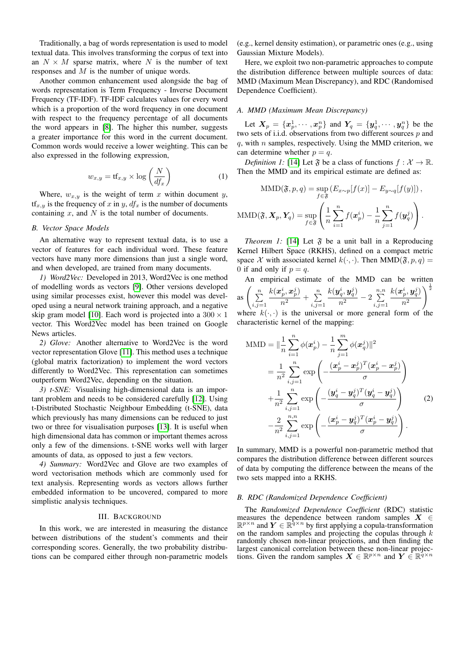Traditionally, a bag of words representation is used to model textual data. This involves transforming the corpus of text into an  $N \times M$  sparse matrix, where N is the number of text responses and M is the number of unique words.

Another common enhancement used alongside the bag of words representation is Term Frequency - Inverse Document Frequency (TF-IDF). TF-IDF calculates values for every word which is a proportion of the word frequency in one document with respect to the frequency percentage of all documents the word appears in [\[8\]](#page-6-7). The higher this number, suggests a greater importance for this word in the current document. Common words would receive a lower weighting. This can be also expressed in the following expression,

$$
w_{x,y} = \text{tf}_{x,y} \times \log\left(\frac{N}{df_x}\right) \tag{1}
$$

Where,  $w_{x,y}$  is the weight of term x within document y,  $tf_{x,y}$  is the frequency of x in y,  $df_x$  is the number of documents containing  $x$ , and  $N$  is the total number of documents.

## *B. Vector Space Models*

An alternative way to represent textual data, is to use a vector of features for each individual word. These feature vectors have many more dimensions than just a single word, and when developed, are trained from many documents.

*1) Word2Vec:* Developed in 2013, Word2Vec is one method of modelling words as vectors [\[9\]](#page-6-8). Other versions developed using similar processes exist, however this model was developed using a neural network training approach, and a negative skip gram model [\[10\]](#page-6-9). Each word is projected into a  $300 \times 1$ vector. This Word2Vec model has been trained on Google News articles.

*2) Glove:* Another alternative to Word2Vec is the word vector representation Glove [\[11\]](#page-6-10). This method uses a technique (global matrix factorization) to implement the word vectors differently to Word2Vec. This representation can sometimes outperform Word2Vec, depending on the situation.

*3) t-SNE:* Visualising high-dimensional data is an important problem and needs to be considered carefully [\[12\]](#page-6-11). Using t-Distributed Stochastic Neighbour Embedding (t-SNE), data which previously has many dimensions can be reduced to just two or three for visualisation purposes [\[13\]](#page-6-12). It is useful when high dimensional data has common or important themes across only a few of the dimensions. t-SNE works well with larger amounts of data, as opposed to just a few vectors.

*4) Summary:* Word2Vec and Glove are two examples of word vectorisation methods which are commonly used for text analysis. Representing words as vectors allows further embedded information to be uncovered, compared to more simplistic analysis techniques.

# III. BACKGROUND

In this work, we are interested in measuring the distance between distributions of the student's comments and their corresponding scores. Generally, the two probability distributions can be compared either through non-parametric models

(e.g., kernel density estimation), or parametric ones (e.g., using Gaussian Mixture Models).

Here, we exploit two non-parametric approaches to compute the distribution difference between multiple sources of data: MMD (Maximum Mean Discrepancy), and RDC (Randomised Dependence Coefficient).

# *A. MMD (Maximum Mean Discrepancy)*

Let  $X_p = \{x_p^1, \cdots, x_p^n\}$  and  $Y_q = \{y_q^1, \cdots, y_q^n\}$  be the two sets of i.i.d. observations from two different sources  $p$  and  $q$ , with  $n$  samples, respectively. Using the MMD criterion, we can determine whether  $p = q$ .

*Definition 1:* [\[14\]](#page-6-13) Let  $\mathfrak F$  be a class of functions  $f : \mathcal X \to \mathbb R$ . Then the MMD and its empirical estimate are defined as:

$$
\text{MMD}(\mathfrak{F}, p, q) = \sup_{f \in \mathfrak{F}} \left( E_{x \sim p} [f(x)] - E_{y \sim q} [f(y)] \right),
$$

$$
\text{MMD}(\mathfrak{F}, \mathbf{X}_p, \mathbf{Y}_q) = \sup_{f \in \mathfrak{F}} \left( \frac{1}{n} \sum_{i=1}^n f(\mathbf{x}_p^i) - \frac{1}{n} \sum_{j=1}^n f(\mathbf{y}_q^j) \right).
$$

*Theorem 1:* [\[14\]](#page-6-13) Let  $\mathfrak F$  be a unit ball in a Reproducing Kernel Hilbert Space (RKHS), defined on a compact metric space X with associated kernel  $k(\cdot, \cdot)$ . Then MMD( $\mathfrak{F}, p, q$ ) = 0 if and only if  $p = q$ .

An empirical estimate of the MMD can be written as  $\left( \begin{array}{c} n \\ \sum \end{array} \right)$  $i,j=1$  $k(\boldsymbol{x}_p^i, \boldsymbol{x}_p^j)$  $\frac{c_p^i,x_p^j)}{n^2}+\sum\limits_{i,j=1}^n$  $i,j=1$  $k(\bm{y}_q^i, \bm{y}_q^j)$  $\frac{\boldsymbol{\eta}_q^i, \boldsymbol{y}_q^j)}{n^2} - 2 \sum_{i,j=1}^{n,n}$  $i,j=1$  $k(\boldsymbol{x}_p^i, \boldsymbol{y}_q^j)$  $n<sup>2</sup>$  $\sqrt{\frac{1}{2}}$ 

where  $k(\cdot, \cdot)$  is the universal or more general form of the characteristic kernel of the mapping:

MMD = 
$$
\|\frac{1}{n}\sum_{i=1}^{n} \phi(x_p^i) - \frac{1}{n}\sum_{j=1}^{m} \phi(x_q^j)\|^2
$$
  
\n $= \frac{1}{n^2}\sum_{i,j=1}^{n} \exp\left(-\frac{(\mathbf{x}_p^i - \mathbf{x}_p^j)^T(\mathbf{x}_p^i - \mathbf{x}_p^j)}{\sigma}\right)$   
\n $+ \frac{1}{n^2}\sum_{i,j=1}^{n} \exp\left(-\frac{(\mathbf{y}_q^i - \mathbf{y}_q^j)^T(\mathbf{y}_q^i - \mathbf{y}_q^j)}{\sigma}\right)$  (2)  
\n $- \frac{2}{n^2}\sum_{i,j=1}^{n,n} \exp\left(-\frac{(\mathbf{x}_p^i - \mathbf{y}_q^j)^T(\mathbf{x}_p^i - \mathbf{y}_q^j)}{\sigma}\right).$ 

In summary, MMD is a powerful non-parametric method that compares the distribution difference between different sources of data by computing the difference between the means of the two sets mapped into a RKHS.

## *B. RDC (Randomized Dependence Coefficient)*

The *Randomized Dependence Coefficient* (RDC) statistic measures the dependence between random samples  $X \in$  $\mathbb{R}^{p \times n}$  and  $Y \in \mathbb{R}^{q \times n}$  by first applying a copula-transformation on the random samples and projecting the copulas through  $k$ randomly chosen non-linear projections, and then finding the largest canonical correlation between these non-linear projections. Given the random samples  $X \in \mathbb{R}^{p \times n}$  and  $Y \in \mathbb{R}^{q \times n}$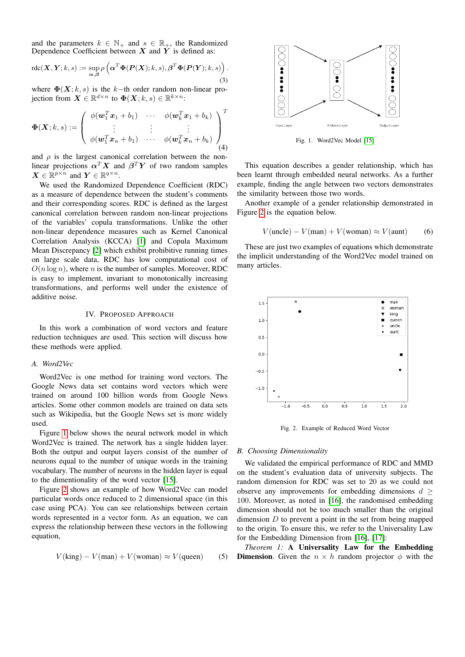and the parameters  $k \in \mathbb{N}_+$  and  $s \in \mathbb{R}_+$ , the Randomized Dependence Coefficient between  $X$  and  $Y$  is defined as:

$$
\mathrm{rdc}(\boldsymbol{X}, \boldsymbol{Y}; k, s) := \sup_{\boldsymbol{\alpha}, \boldsymbol{\beta}} \rho \left( \boldsymbol{\alpha}^T \boldsymbol{\Phi}(\boldsymbol{P}(\boldsymbol{X}); k, s), \boldsymbol{\beta}^T \boldsymbol{\Phi}(\boldsymbol{P}(\boldsymbol{Y}); k, s) \right). \tag{3}
$$

where  $\Phi(X; k, s)$  is the k−th order random non-linear projection from  $\boldsymbol{X} \in \mathbb{R}^{d \times n}$  to  $\boldsymbol{\Phi}(\boldsymbol{X}; k, s) \in \mathbb{R}^{k \times n}$ :

$$
\Phi(\boldsymbol{X};k,s) := \left( \begin{array}{ccc} \phi(\boldsymbol{w}_1^T\boldsymbol{x}_1+b_1) & \cdots & \phi(\boldsymbol{w}_k^T\boldsymbol{x}_1+b_k) \\ \vdots & \vdots & \vdots \\ \phi(\boldsymbol{w}_1^T\boldsymbol{x}_n+b_1) & \cdots & \phi(\boldsymbol{w}_k^T\boldsymbol{x}_n+b_k) \end{array} \right)^T \tag{4}
$$

and  $\rho$  is the largest canonical correlation between the nonlinear projections  $\alpha^T X$  and  $\beta^T Y$  of two random samples  $\boldsymbol{X} \in \mathbb{R}^{p \times n}$  and  $\boldsymbol{Y} \in \mathbb{R}^{q \times n}$ .

We used the Randomized Dependence Coefficient (RDC) as a measure of dependence between the student's comments and their corresponding scores. RDC is defined as the largest canonical correlation between random non-linear projections of the variables' copula transformations. Unlike the other non-linear dependence measures such as Kernel Canonical Correlation Analysis (KCCA) [\[1\]](#page-6-0) and Copula Maximum Mean Discrepancy [\[2\]](#page-6-1) which exhibit prohibitive running times on large scale data, RDC has low computational cost of  $O(n \log n)$ , where n is the number of samples. Moreover, RDC is easy to implement, invariant to monotonically increasing transformations, and performs well under the existence of additive noise.

## IV. PROPOSED APPROACH

In this work a combination of word vectors and feature reduction techniques are used. This section will discuss how these methods were applied.

## *A. Word2Vec*

Word2Vec is one method for training word vectors. The Google News data set contains word vectors which were trained on around 100 billion words from Google News articles. Some other common models are trained on data sets such as Wikipedia, but the Google News set is more widely used.

Figure [1](#page-2-0) below shows the neural network model in which Word2Vec is trained. The network has a single hidden layer. Both the output and output layers consist of the number of neurons equal to the number of unique words in the training vocabulary. The number of neurons in the hidden layer is equal to the dimentionality of the word vector [\[15\]](#page-6-14).

Figure [2](#page-2-1) shows an example of how Word2Vec can model particular words once reduced to 2 dimensional space (in this case using PCA). You can see relationships between certain words represented in a vector form. As an equation, we can express the relationship between these vectors in the following equation,

$$
V(\text{king}) - V(\text{man}) + V(\text{woman}) \approx V(\text{queen})
$$
 (5)



<span id="page-2-0"></span>Fig. 1. Word2Vec Model [\[15\]](#page-6-14)

This equation describes a gender relationship, which has been learnt through embedded neural networks. As a further example, finding the angle between two vectors demonstrates the similarity between those two words.

Another example of a gender relationship demonstrated in Figure [2](#page-2-1) is the equation below.

$$
V(\text{uncle}) - V(\text{man}) + V(\text{woman}) \approx V(\text{aunt}) \tag{6}
$$

These are just two examples of equations which demonstrate the implicit understanding of the Word2Vec model trained on many articles.



<span id="page-2-1"></span>Fig. 2. Example of Reduced Word Vector

## *B. Choosing Dimensionality*

We validated the empirical performance of RDC and MMD on the student's evaluation data of university subjects. The random dimension for RDC was set to 20 as we could not observe any improvements for embedding dimensions  $d \geq$ 100. Moreover, as noted in [\[16\]](#page-6-15), the randomised embedding dimension should not be too much smaller than the original dimension  $D$  to prevent a point in the set from being mapped to the origin. To ensure this, we refer to the Universality Law for the Embedding Dimension from [\[16\]](#page-6-15), [\[17\]](#page-6-16):

*Theorem 1:* A Universality Law for the Embedding **Dimension.** Given the  $n \times h$  random projector  $\phi$  with the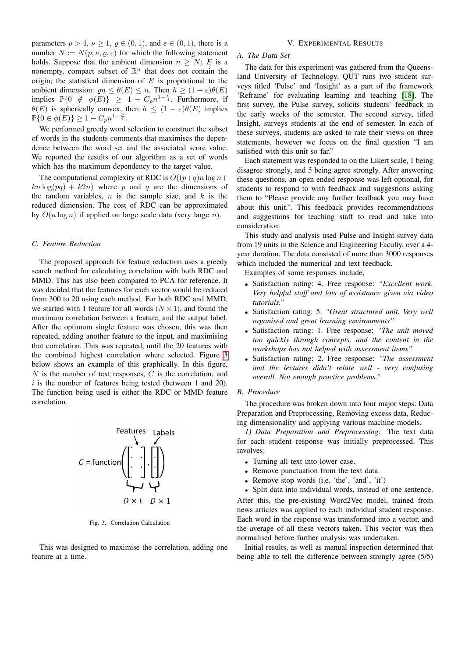parameters  $p > 4$ ,  $\nu \ge 1$ ,  $\rho \in (0, 1)$ , and  $\varepsilon \in (0, 1)$ , there is a number  $N := N(p, \nu, \varrho, \varepsilon)$  for which the following statement holds. Suppose that the ambient dimension  $n \geq N$ ; E is a nonempty, compact subset of  $\mathbb{R}^n$  that does not contain the origin; the statistical dimension of  $E$  is proportional to the ambient dimension:  $\rho n \leq \theta(E) \leq n$ . Then  $h > (1 + \varepsilon)\theta(E)$ implies  $\mathbb{P}\{0 \notin \phi(E)\} \geq 1 - C_p n^{1-\frac{p}{4}}$ . Furthermore, if  $\theta(E)$  is spherically convex, then  $h \leq (1 - \varepsilon)\theta(E)$  implies  $\mathbb{P}\{0 \in \phi(E)\} \geq 1 - C_p n^{1-\frac{p}{4}}.$ 

We performed greedy word selection to construct the subset of words in the students comments that maximises the dependence between the word set and the associated score value. We reported the results of our algorithm as a set of words which has the maximum dependency to the target value.

The computational complexity of RDC is  $O((p+q)n \log n +$  $kn \log(pq) + k2n)$  where p and q are the dimensions of the random variables,  $n$  is the sample size, and  $k$  is the reduced dimension. The cost of RDC can be approximated by  $O(n \log n)$  if applied on large scale data (very large n).

# *C. Feature Reduction*

The proposed approach for feature reduction uses a greedy search method for calculating correlation with both RDC and MMD. This has also been compared to PCA for reference. It was decided that the features for each vector would be reduced from 300 to 20 using each method. For both RDC and MMD, we started with 1 feature for all words  $(N \times 1)$ , and found the maximum correlation between a feature, and the output label. After the optimum single feature was chosen, this was then repeated, adding another feature to the input, and maximising that correlation. This was repeated, until the 20 features with the combined highest correlation where selected. Figure [3](#page-3-0) below shows an example of this graphically. In this figure,  $N$  is the number of text responses,  $C$  is the correlation, and  $i$  is the number of features being tested (between 1 and 20). The function being used is either the RDC or MMD feature correlation.



<span id="page-3-0"></span>Fig. 3. Correlation Calculation

This was designed to maximise the correlation, adding one feature at a time.

### V. EXPERIMENTAL RESULTS

# *A. The Data Set*

The data for this experiment was gathered from the Queensland University of Technology. QUT runs two student surveys titled 'Pulse' and 'Insight' as a part of the framework 'Reframe' for evaluating learning and teaching [\[18\]](#page-6-17). The first survey, the Pulse survey, solicits students' feedback in the early weeks of the semester. The second survey, titled Insight, surveys students at the end of semester. In each of these surveys, students are asked to rate their views on three statements, however we focus on the final question "I am satisfied with this unit so far."

Each statement was responded to on the Likert scale, 1 being disagree strongly, and 5 being agree strongly. After answering these questions, an open ended response was left optional, for students to respond to with feedback and suggestions asking them to "Please provide any further feedback you may have about this unit.". This feedback provides recommendations and suggestions for teaching staff to read and take into consideration.

This study and analysis used Pulse and Insight survey data from 19 units in the Science and Engineering Faculty, over a 4 year duration. The data consisted of more than 3000 responses which included the numerical and text feedback.

Examples of some responses include,

- Satisfaction rating: 4. Free response: *"Excellent work. Very helpful staff and lots of assistance given via video tutorials."*
- Satisfaction rating: 5. *"Great structured unit. Very well organised and great learning environments"*
- Satisfaction rating: 1. Free response: *"The unit moved too quickly through concepts, and the content in the workshops has not helped with assessment items"*
- Satisfaction rating: 2. Free response: *"The assessment and the lectures didn't relate well - very confusing overall. Not enough practice problems."*

# *B. Procedure*

The procedure was broken down into four major steps: Data Preparation and Preprocessing, Removing excess data, Reducing dimensionality and applying various machine models.

*1) Data Preparation and Preprocessing:* The text data for each student response was initially preprocessed. This involves:

- Turning all text into lower case.
- Remove punctuation from the text data.
- Remove stop words (i.e. 'the', 'and', 'it')
- Split data into individual words, instead of one sentence.

After this, the pre-existing Word2Vec model, trained from news articles was applied to each individual student response. Each word in the response was transformed into a vector, and the average of all these vectors taken. This vector was then normalised before further analysis was undertaken.

Initial results, as well as manual inspection determined that being able to tell the difference between strongly agree (5/5)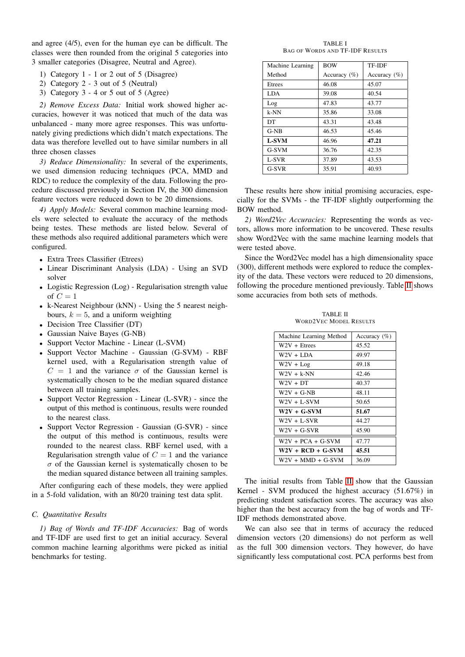and agree (4/5), even for the human eye can be difficult. The classes were then rounded from the original 5 categories into 3 smaller categories (Disagree, Neutral and Agree).

- 1) Category 1 1 or 2 out of 5 (Disagree)
- 2) Category 2 3 out of 5 (Neutral)
- 3) Category 3 4 or 5 out of 5 (Agree)

*2) Remove Excess Data:* Initial work showed higher accuracies, however it was noticed that much of the data was unbalanced - many more agree responses. This was unfortunately giving predictions which didn't match expectations. The data was therefore levelled out to have similar numbers in all three chosen classes

*3) Reduce Dimensionality:* In several of the experiments, we used dimension reducing techniques (PCA, MMD and RDC) to reduce the complexity of the data. Following the procedure discussed previously in Section IV, the 300 dimension feature vectors were reduced down to be 20 dimensions.

*4) Apply Models:* Several common machine learning models were selected to evaluate the accuracy of the methods being testes. These methods are listed below. Several of these methods also required additional parameters which were configured.

- Extra Trees Classifier (Etrees)
- Linear Discriminant Analysis (LDA) Using an SVD solver
- Logistic Regression (Log) Regularisation strength value of  $C = 1$
- k-Nearest Neighbour (kNN) Using the 5 nearest neighbours,  $k = 5$ , and a uniform weighting
- Decision Tree Classifier (DT)
- Gaussian Naive Bayes (G-NB)
- Support Vector Machine Linear (L-SVM)
- Support Vector Machine Gaussian (G-SVM) RBF kernel used, with a Regularisation strength value of  $C = 1$  and the variance  $\sigma$  of the Gaussian kernel is systematically chosen to be the median squared distance between all training samples.
- Support Vector Regression Linear (L-SVR) since the output of this method is continuous, results were rounded to the nearest class.
- Support Vector Regression Gaussian (G-SVR) since the output of this method is continuous, results were rounded to the nearest class. RBF kernel used, with a Regularisation strength value of  $C = 1$  and the variance  $\sigma$  of the Gaussian kernel is systematically chosen to be the median squared distance between all training samples.

After configuring each of these models, they were applied in a 5-fold validation, with an 80/20 training test data split.

# *C. Quantitative Results*

*1) Bag of Words and TF-IDF Accuracies:* Bag of words and TF-IDF are used first to get an initial accuracy. Several common machine learning algorithms were picked as initial benchmarks for testing.

TABLE I BAG OF WORDS AND TF-IDF RESULTS

| Machine Learning | <b>BOW</b>       | TF-IDF           |
|------------------|------------------|------------------|
| Method           | Accuracy $(\% )$ | Accuracy $(\% )$ |
| Etrees           | 46.08            | 45.07            |
| <b>LDA</b>       | 39.08            | 40.54            |
| Log              | 47.83            | 43.77            |
| k-NN             | 35.86            | 33.08            |
| DT               | 43.31            | 43.48            |
| $G-NB$           | 46.53            | 45.46            |
| <b>L-SVM</b>     | 46.96            | 47.21            |
| G-SVM            | 36.76            | 42.35            |
| L-SVR            | 37.89            | 43.53            |
| G-SVR            | 35.91            | 40.93            |

These results here show initial promising accuracies, especially for the SVMs - the TF-IDF slightly outperforming the BOW method.

*2) Word2Vec Accuracies:* Representing the words as vectors, allows more information to be uncovered. These results show Word2Vec with the same machine learning models that were tested above.

Since the Word2Vec model has a high dimensionality space (300), different methods were explored to reduce the complexity of the data. These vectors were reduced to 20 dimensions, following the procedure mentioned previously. Table [II](#page-4-0) shows some accuracies from both sets of methods.

TABLE II WORD2VEC MODEL RESULTS

<span id="page-4-0"></span>

| Machine Learning Method | Accuracy $(\% )$ |
|-------------------------|------------------|
| $W2V + E$ trees         | 45.52            |
| $W2V + LDA$             | 49.97            |
| $W2V + Log$             | 49.18            |
| $W2V + k-NN$            | 42.46            |
| $W2V + DT$              | 40.37            |
| $W2V + G-NB$            | 48.11            |
| $W2V + L-SVM$           | 50.65            |
| $W2V + G-SVM$           | 51.67            |
| $W2V + L-SVR$           | 44.27            |
| $W2V + G-SVR$           | 45.90            |
| $W2V + PCA + G-SVM$     | 47.77            |
| $W2V + RCD + G-SVM$     | 45.51            |
| $W2V + MMD + G-SVM$     | 36.09            |

The initial results from Table [II](#page-4-0) show that the Gaussian Kernel - SVM produced the highest accuracy (51.67%) in predicting student satisfaction scores. The accuracy was also higher than the best accuracy from the bag of words and TF-IDF methods demonstrated above.

We can also see that in terms of accuracy the reduced dimension vectors (20 dimensions) do not perform as well as the full 300 dimension vectors. They however, do have significantly less computational cost. PCA performs best from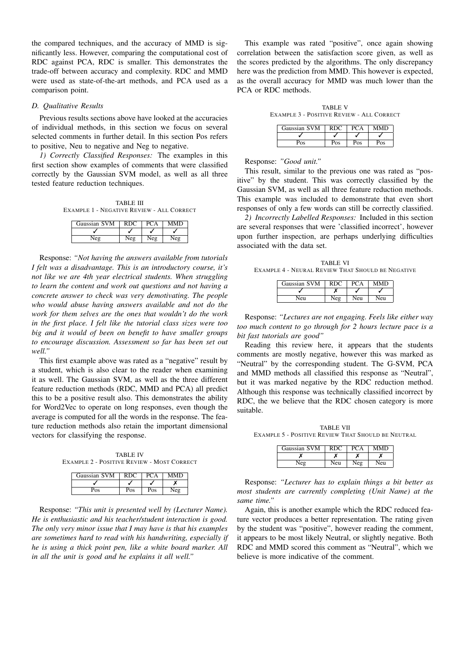the compared techniques, and the accuracy of MMD is significantly less. However, comparing the computational cost of RDC against PCA, RDC is smaller. This demonstrates the trade-off between accuracy and complexity. RDC and MMD were used as state-of-the-art methods, and PCA used as a comparison point.

# *D. Qualitative Results*

Previous results sections above have looked at the accuracies of individual methods, in this section we focus on several selected comments in further detail. In this section Pos refers to positive, Neu to negative and Neg to negative.

*1) Correctly Classified Responses:* The examples in this first section show examples of comments that were classified correctly by the Gaussian SVM model, as well as all three tested feature reduction techniques.

TABLE III EXAMPLE 1 - NEGATIVE REVIEW - ALL CORRECT

| Gaussian SVM | RDC |     | <b>MMD</b> |
|--------------|-----|-----|------------|
|              |     |     |            |
| ۸۱≙σ         | Neσ | Neo | آڪ         |

Response: *"Not having the answers available from tutorials I felt was a disadvantage. This is an introductory course, it's not like we are 4th year electrical students. When struggling to learn the content and work out questions and not having a concrete answer to check was very demotivating. The people who would abuse having answers available and not do the work for them selves are the ones that wouldn't do the work in the first place. I felt like the tutorial class sizes were too big and it would of been on benefit to have smaller groups to encourage discussion. Assessment so far has been set out well."*

This first example above was rated as a "negative" result by a student, which is also clear to the reader when examining it as well. The Gaussian SVM, as well as the three different feature reduction methods (RDC, MMD and PCA) all predict this to be a positive result also. This demonstrates the ability for Word2Vec to operate on long responses, even though the average is computed for all the words in the response. The feature reduction methods also retain the important dimensional vectors for classifying the response.

TABLE IV EXAMPLE 2 - POSITIVE REVIEW - MOST CORRECT

| Gaussian SVM |     |     | MMD |
|--------------|-----|-----|-----|
|              |     |     |     |
| Pos          | Pos | Pos |     |

Response: *"This unit is presented well by (Lecturer Name). He is enthusiastic and his teacher/student interaction is good. The only very minor issue that I may have is that his examples are sometimes hard to read with his handwriting, especially if he is using a thick point pen, like a white board marker. All in all the unit is good and he explains it all well."*

This example was rated "positive", once again showing correlation between the satisfaction score given, as well as the scores predicted by the algorithms. The only discrepancy here was the prediction from MMD. This however is expected, as the overall accuracy for MMD was much lower than the PCA or RDC methods.

TABLE V EXAMPLE 3 - POSITIVE REVIEW - ALL CORRECT

| Gaussian SVM | RDC |     |     |
|--------------|-----|-----|-----|
|              |     |     |     |
| Pos          | Pos | Pos | Pos |

Response: *"Good unit."*

This result, similar to the previous one was rated as "positive" by the student. This was correctly classified by the Gaussian SVM, as well as all three feature reduction methods. This example was included to demonstrate that even short responses of only a few words can still be correctly classified.

*2) Incorrectly Labelled Responses:* Included in this section are several responses that were 'classified incorrect', however upon further inspection, are perhaps underlying difficulties associated with the data set.

TABLE VI EXAMPLE 4 - NEURAL REVIEW THAT SHOULD BE NEGATIVE

| Gaussian SVM | RDC. |     |    |
|--------------|------|-----|----|
|              |      |     |    |
| len          |      | len | eu |

Response: *"Lectures are not engaging. Feels like either way too much content to go through for 2 hours lecture pace is a bit fast tutorials are good"*

Reading this review here, it appears that the students comments are mostly negative, however this was marked as "Neutral" by the corresponding student. The G-SVM, PCA and MMD methods all classified this response as "Neutral", but it was marked negative by the RDC reduction method. Although this response was technically classified incorrect by RDC, the we believe that the RDC chosen category is more suitable.

TABLE VII EXAMPLE 5 - POSITIVE REVIEW THAT SHOULD BE NEUTRAL

| Gaussian SVM | <b>RDC</b> |     | <b>MMD</b> |
|--------------|------------|-----|------------|
|              |            |     |            |
| $\sqrt{eg}$  | Neu        | Neg | Neu        |

Response: *"Lecturer has to explain things a bit better as most students are currently completing (Unit Name) at the same time."*

Again, this is another example which the RDC reduced feature vector produces a better representation. The rating given by the student was "positive", however reading the comment, it appears to be most likely Neutral, or slightly negative. Both RDC and MMD scored this comment as "Neutral", which we believe is more indicative of the comment.